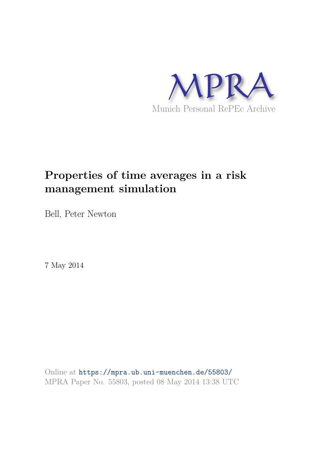

# **Properties of time averages in a risk management simulation**

Bell, Peter Newton

7 May 2014

Online at https://mpra.ub.uni-muenchen.de/55803/ MPRA Paper No. 55803, posted 08 May 2014 13:38 UTC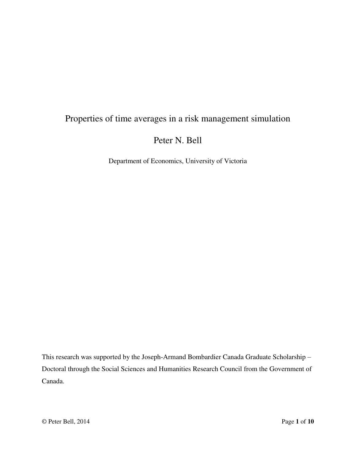# Properties of time averages in a risk management simulation

Peter N. Bell

Department of Economics, University of Victoria

This research was supported by the Joseph-Armand Bombardier Canada Graduate Scholarship – Doctoral through the Social Sciences and Humanities Research Council from the Government of Canada.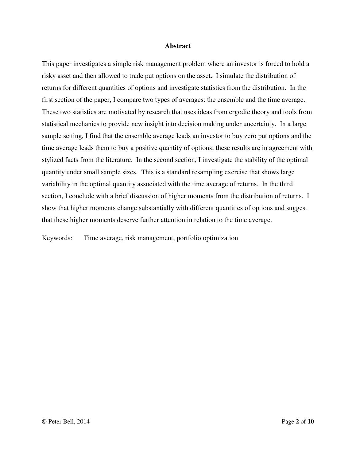## **Abstract**

This paper investigates a simple risk management problem where an investor is forced to hold a risky asset and then allowed to trade put options on the asset. I simulate the distribution of returns for different quantities of options and investigate statistics from the distribution. In the first section of the paper, I compare two types of averages: the ensemble and the time average. These two statistics are motivated by research that uses ideas from ergodic theory and tools from statistical mechanics to provide new insight into decision making under uncertainty. In a large sample setting, I find that the ensemble average leads an investor to buy zero put options and the time average leads them to buy a positive quantity of options; these results are in agreement with stylized facts from the literature. In the second section, I investigate the stability of the optimal quantity under small sample sizes. This is a standard resampling exercise that shows large variability in the optimal quantity associated with the time average of returns. In the third section, I conclude with a brief discussion of higher moments from the distribution of returns. I show that higher moments change substantially with different quantities of options and suggest that these higher moments deserve further attention in relation to the time average.

Keywords: Time average, risk management, portfolio optimization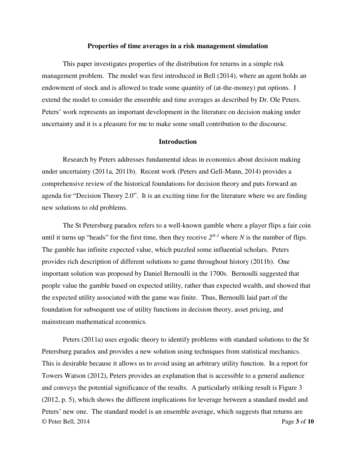#### **Properties of time averages in a risk management simulation**

This paper investigates properties of the distribution for returns in a simple risk management problem. The model was first introduced in Bell (2014), where an agent holds an endowment of stock and is allowed to trade some quantity of (at-the-money) put options. I extend the model to consider the ensemble and time averages as described by Dr. Ole Peters. Peters' work represents an important development in the literature on decision making under uncertainty and it is a pleasure for me to make some small contribution to the discourse.

# **Introduction**

Research by Peters addresses fundamental ideas in economics about decision making under uncertainty (2011a, 2011b). Recent work (Peters and Gell-Mann, 2014) provides a comprehensive review of the historical foundations for decision theory and puts forward an agenda for "Decision Theory 2.0". It is an exciting time for the literature where we are finding new solutions to old problems.

The St Petersburg paradox refers to a well-known gamble where a player flips a fair coin until it turns up "heads" for the first time, then they receive  $2^{N-1}$  where *N* is the number of flips. The gamble has infinite expected value, which puzzled some influential scholars. Peters provides rich description of different solutions to game throughout history (2011b). One important solution was proposed by Daniel Bernoulli in the 1700s. Bernoulli suggested that people value the gamble based on expected utility, rather than expected wealth, and showed that the expected utility associated with the game was finite. Thus, Bernoulli laid part of the foundation for subsequent use of utility functions in decision theory, asset pricing, and mainstream mathematical economics.

© Peter Bell, 2014 Page **3** of **10** Peters (2011a) uses ergodic theory to identify problems with standard solutions to the St Petersburg paradox and provides a new solution using techniques from statistical mechanics. This is desirable because it allows us to avoid using an arbitrary utility function. In a report for Towers Watson (2012), Peters provides an explanation that is accessible to a general audience and conveys the potential significance of the results. A particularly striking result is Figure 3 (2012, p. 5), which shows the different implications for leverage between a standard model and Peters' new one. The standard model is an ensemble average, which suggests that returns are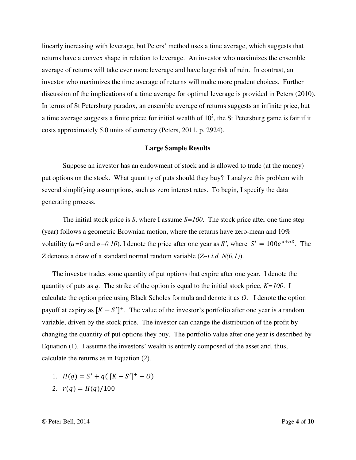linearly increasing with leverage, but Peters' method uses a time average, which suggests that returns have a convex shape in relation to leverage. An investor who maximizes the ensemble average of returns will take ever more leverage and have large risk of ruin. In contrast, an investor who maximizes the time average of returns will make more prudent choices. Further discussion of the implications of a time average for optimal leverage is provided in Peters (2010). In terms of St Petersburg paradox, an ensemble average of returns suggests an infinite price, but a time average suggests a finite price; for initial wealth of  $10^2$ , the St Petersburg game is fair if it costs approximately 5.0 units of currency (Peters, 2011, p. 2924).

# **Large Sample Results**

Suppose an investor has an endowment of stock and is allowed to trade (at the money) put options on the stock. What quantity of puts should they buy? I analyze this problem with several simplifying assumptions, such as zero interest rates. To begin, I specify the data generating process.

The initial stock price is *S*, where I assume *S=100*. The stock price after one time step (year) follows a geometric Brownian motion, where the returns have zero-mean and 10% volatility ( $\mu$ =0 and  $\sigma$ =0.10). I denote the price after one year as *S'*, where  $S' = 100e^{\mu + \sigma Z}$ . The *Z* denotes a draw of a standard normal random variable (*Z~i.i.d. N(0,1)*).

The investor trades some quantity of put options that expire after one year. I denote the quantity of puts as *q*. The strike of the option is equal to the initial stock price, *K=100*. I calculate the option price using Black Scholes formula and denote it as *O*. I denote the option payoff at expiry as  $[K - S']^+$ . The value of the investor's portfolio after one year is a random variable, driven by the stock price. The investor can change the distribution of the profit by changing the quantity of put options they buy. The portfolio value after one year is described by Equation (1). I assume the investors' wealth is entirely composed of the asset and, thus, calculate the returns as in Equation (2).

- 1.  $\Pi(q) = S' + q([K S']^+ 0)$
- 2.  $r(q) = \Pi(q)/100$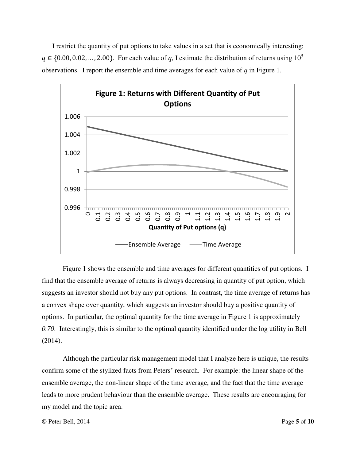I restrict the quantity of put options to take values in a set that is economically interesting:  $q \in \{0.00, 0.02, \dots, 2.00\}$ . For each value of q, I estimate the distribution of returns using  $10^5$ observations. I report the ensemble and time averages for each value of *q* in Figure 1.



Figure 1 shows the ensemble and time averages for different quantities of put options. I find that the ensemble average of returns is always decreasing in quantity of put option, which suggests an investor should not buy any put options. In contrast, the time average of returns has a convex shape over quantity, which suggests an investor should buy a positive quantity of options. In particular, the optimal quantity for the time average in Figure 1 is approximately *0.70*. Interestingly, this is similar to the optimal quantity identified under the log utility in Bell (2014).

Although the particular risk management model that I analyze here is unique, the results confirm some of the stylized facts from Peters' research. For example: the linear shape of the ensemble average, the non-linear shape of the time average, and the fact that the time average leads to more prudent behaviour than the ensemble average. These results are encouraging for my model and the topic area.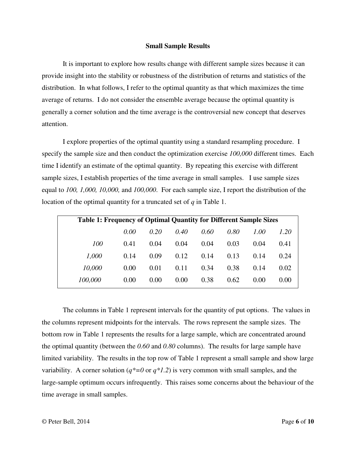#### **Small Sample Results**

It is important to explore how results change with different sample sizes because it can provide insight into the stability or robustness of the distribution of returns and statistics of the distribution. In what follows, I refer to the optimal quantity as that which maximizes the time average of returns. I do not consider the ensemble average because the optimal quantity is generally a corner solution and the time average is the controversial new concept that deserves attention.

I explore properties of the optimal quantity using a standard resampling procedure. I specify the sample size and then conduct the optimization exercise *100,000* different times. Each time I identify an estimate of the optimal quantity. By repeating this exercise with different sample sizes, I establish properties of the time average in small samples. I use sample sizes equal to *100, 1,000, 10,000,* and *100,000*. For each sample size, I report the distribution of the location of the optimal quantity for a truncated set of *q* in Table 1.

| <b>Table 1: Frequency of Optimal Quantity for Different Sample Sizes</b> |      |      |      |      |      |      |      |
|--------------------------------------------------------------------------|------|------|------|------|------|------|------|
|                                                                          | 0.00 | 0.20 | 0.40 | 0.60 | 0.80 | 1.00 | 1.20 |
| 100                                                                      | 0.41 | 0.04 | 0.04 | 0.04 | 0.03 | 0.04 | 0.41 |
| 1,000                                                                    | 0.14 | 0.09 | 0.12 | 0.14 | 0.13 | 0.14 | 0.24 |
| 10,000                                                                   | 0.00 | 0.01 | 0.11 | 0.34 | 0.38 | 0.14 | 0.02 |
| 100,000                                                                  | 0.00 | 0.00 | 0.00 | 0.38 | 0.62 | 0.00 | 0.00 |

The columns in Table 1 represent intervals for the quantity of put options. The values in the columns represent midpoints for the intervals. The rows represent the sample sizes. The bottom row in Table 1 represents the results for a large sample, which are concentrated around the optimal quantity (between the *0.60* and *0.80* columns). The results for large sample have limited variability. The results in the top row of Table 1 represent a small sample and show large variability. A corner solution ( $q^*=0$  or  $q^*1.2$ ) is very common with small samples, and the large-sample optimum occurs infrequently. This raises some concerns about the behaviour of the time average in small samples.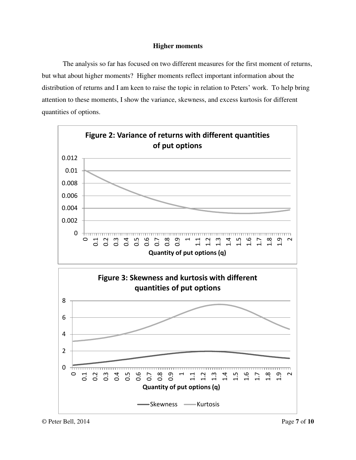# **Higher moments**

The analysis so far has focused on two different measures for the first moment of returns, but what about higher moments? Higher moments reflect important information about the distribution of returns and I am keen to raise the topic in relation to Peters' work. To help bring attention to these moments, I show the variance, skewness, and excess kurtosis for different quantities of options.

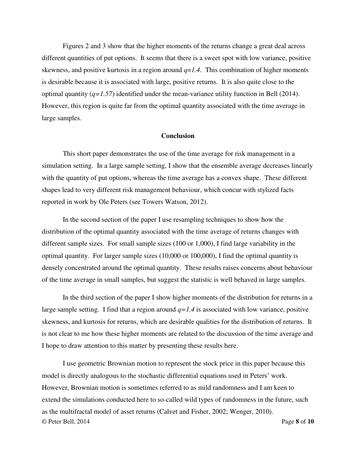Figures 2 and 3 show that the higher moments of the returns change a great deal across different quantities of put options. It seems that there is a sweet spot with low variance, positive skewness, and positive kurtosis in a region around *q*=*1.4*. This combination of higher moments is desirable because it is associated with large, positive returns. It is also quite close to the optimal quantity (*q=1.57*) identified under the mean-variance utility function in Bell (2014). However, this region is quite far from the optimal quantity associated with the time average in large samples.

# **Conclusion**

This short paper demonstrates the use of the time average for risk management in a simulation setting. In a large sample setting, I show that the ensemble average decreases linearly with the quantity of put options, whereas the time average has a convex shape. These different shapes lead to very different risk management behaviour, which concur with stylized facts reported in work by Ole Peters (see Towers Watson, 2012).

In the second section of the paper I use resampling techniques to show how the distribution of the optimal quantity associated with the time average of returns changes with different sample sizes. For small sample sizes (100 or 1,000), I find large variability in the optimal quantity. For larger sample sizes (10,000 or 100,000), I find the optimal quantity is densely concentrated around the optimal quantity. These results raises concerns about behaviour of the time average in small samples, but suggest the statistic is well behaved in large samples.

In the third section of the paper I show higher moments of the distribution for returns in a large sample setting. I find that a region around  $q=1.4$  is associated with low variance, positive skewness, and kurtosis for returns, which are desirable qualities for the distribution of returns. It is not clear to me how these higher moments are related to the discussion of the time average and I hope to draw attention to this matter by presenting these results here.

© Peter Bell, 2014 Page **8** of **10** I use geometric Brownian motion to represent the stock price in this paper because this model is directly analogous to the stochastic differential equations used in Peters' work. However, Brownian motion is sometimes referred to as mild randomness and I am keen to extend the simulations conducted here to so-called wild types of randomness in the future, such as the multifractal model of asset returns (Calvet and Fisher, 2002; Wenger, 2010).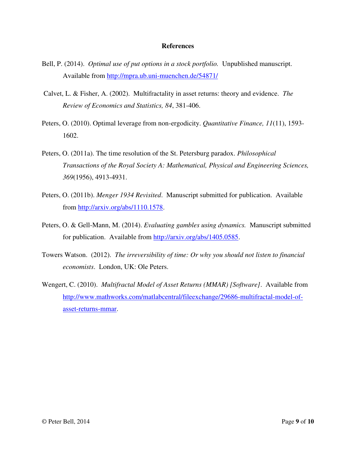### **References**

- Bell, P. (2014). *Optimal use of put options in a stock portfolio.* Unpublished manuscript. Available from<http://mpra.ub.uni-muenchen.de/54871/>
- Calvet, L. & Fisher, A. (2002). Multifractality in asset returns: theory and evidence. *The Review of Economics and Statistics, 84*, 381-406.
- Peters, O. (2010). Optimal leverage from non-ergodicity. *Quantitative Finance, 11*(11), 1593- 1602.
- Peters, O. (2011a). The time resolution of the St. Petersburg paradox. *Philosophical Transactions of the Royal Society A: Mathematical, Physical and Engineering Sciences, 369*(1956), 4913-4931.
- Peters, O. (2011b). *Menger 1934 Revisited*. Manuscript submitted for publication. Available from [http://arxiv.org/abs/1110.1578.](http://arxiv.org/abs/1110.1578)
- Peters, O. & Gell-Mann, M. (2014). *Evaluating gambles using dynamics.* Manuscript submitted for publication. Available from [http://arxiv.org/abs/1405.0585.](http://arxiv.org/abs/1405.0585)
- Towers Watson. (2012). *The irreversibility of time: Or why you should not listen to financial economists*. London, UK: Ole Peters.
- Wengert, C. (2010). *Multifractal Model of Asset Returns (MMAR) [Software]*. Available from [http://www.mathworks.com/matlabcentral/fileexchange/29686-multifractal-model-of](http://www.mathworks.com/matlabcentral/fileexchange/29686-multifractal-model-of-asset-returns-mmar)[asset-returns-mmar.](http://www.mathworks.com/matlabcentral/fileexchange/29686-multifractal-model-of-asset-returns-mmar)